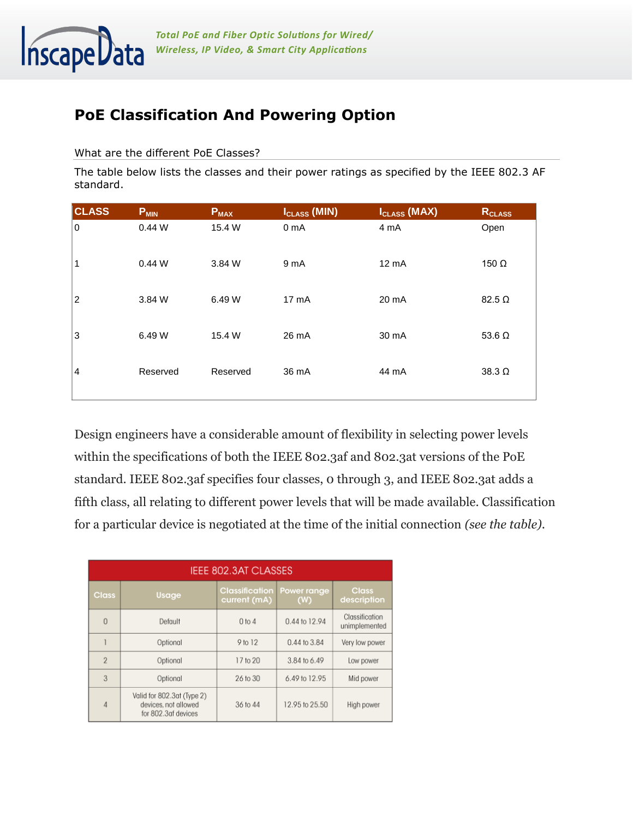

## **PoE Classification And Powering Option**

What are the different PoE Classes?

The table below lists the classes and their power ratings as specified by the IEEE 802.3 AF standard.

| <b>CLASS</b>   | $P_{MIN}$ | <b>P<sub>MAX</sub></b> | I <sub>CLASS</sub> (MIN) | I <sub>CLASS</sub> (MAX) | RCLASS        |
|----------------|-----------|------------------------|--------------------------|--------------------------|---------------|
| 0              | 0.44W     | 15.4 W                 | 0 <sub>m</sub> A         | 4 mA                     | Open          |
| 1              | 0.44W     | 3.84 W                 | 9 mA                     | 12 mA                    | 150 $\Omega$  |
| $\overline{2}$ | 3.84 W    | 6.49 W                 | 17 <sub>m</sub> A        | 20 mA                    | $82.5 \Omega$ |
| 3              | 6.49 W    | 15.4 W                 | 26 mA                    | 30 mA                    | 53.6 $\Omega$ |
| $\overline{4}$ | Reserved  | Reserved               | 36 mA                    | 44 mA                    | $38.3 \Omega$ |

Design engineers have a considerable amount of flexibility in selecting power levels within the specifications of both the IEEE 802.3af and 802.3at versions of the PoE standard. IEEE 802.3af specifies four classes, 0 through 3, and IEEE 802.3at adds a fifth class, all relating to different power levels that will be made available. Classification for a particular device is negotiated at the time of the initial connection *(see the table)*.

| IEEE 802.3AT CLASSES |                                                                           |                                       |                    |                                 |  |  |  |
|----------------------|---------------------------------------------------------------------------|---------------------------------------|--------------------|---------------------------------|--|--|--|
| <b>Class</b>         | Usage                                                                     | <b>Classification</b><br>current (mA) | Power range<br>(W) | <b>Class</b><br>description     |  |  |  |
| $\theta$             | Default                                                                   | $0$ to $4$                            | 0.44 to 12.94      | Classification<br>unimplemented |  |  |  |
|                      | Optional                                                                  | 9 to 12                               | 0.44 to 3.84       | Very low power                  |  |  |  |
| $\overline{2}$       | Optional                                                                  | 17 to 20                              | 3.84 to 6.49       | Low power                       |  |  |  |
| 3                    | Optional                                                                  | 26 to 30                              | 6.49 to 12.95      | Mid power                       |  |  |  |
| 4                    | Valid for 802.3at (Type 2)<br>devices, not allowed<br>for 802.3af devices | 36 to 44                              | 12.95 to 25.50     | High power                      |  |  |  |